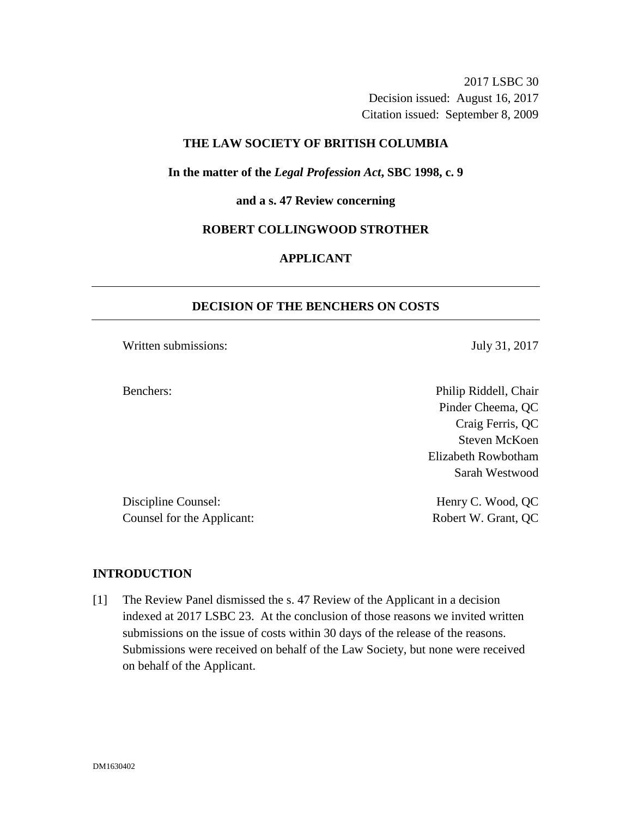2017 LSBC 30 Decision issued: August 16, 2017 Citation issued: September 8, 2009

### **THE LAW SOCIETY OF BRITISH COLUMBIA**

### **In the matter of the** *Legal Profession Act***, SBC 1998, c. 9**

#### **and a s. 47 Review concerning**

#### **ROBERT COLLINGWOOD STROTHER**

# **APPLICANT**

### **DECISION OF THE BENCHERS ON COSTS**

Written submissions: July 31, 2017

Benchers: Philip Riddell, Chair Pinder Cheema, QC Craig Ferris, QC Steven McKoen Elizabeth Rowbotham Sarah Westwood

Discipline Counsel: Henry C. Wood, QC Counsel for the Applicant: Robert W. Grant, QC

# **INTRODUCTION**

[1] The Review Panel dismissed the s. 47 Review of the Applicant in a decision indexed at 2017 LSBC 23. At the conclusion of those reasons we invited written submissions on the issue of costs within 30 days of the release of the reasons. Submissions were received on behalf of the Law Society, but none were received on behalf of the Applicant.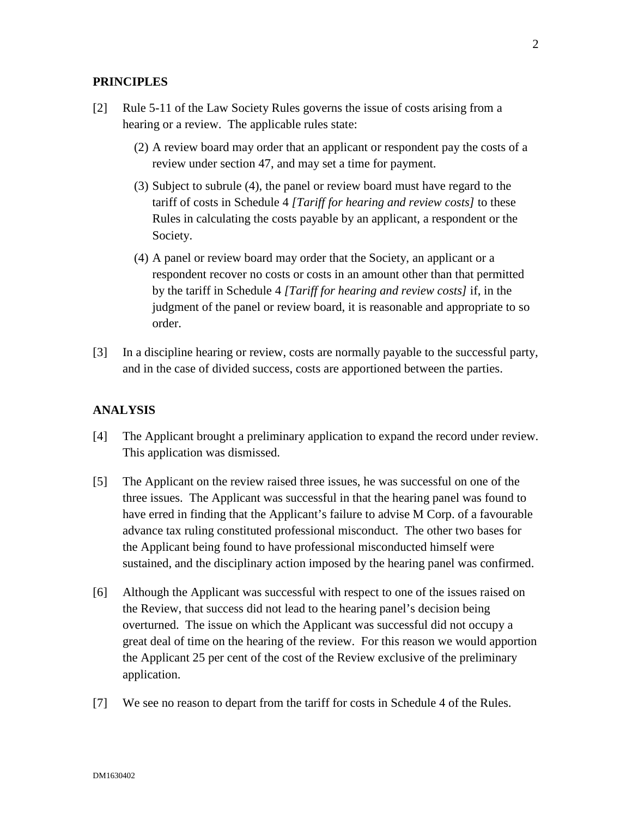### **PRINCIPLES**

- [2] Rule 5-11 of the Law Society Rules governs the issue of costs arising from a hearing or a review. The applicable rules state:
	- (2) A review board may order that an applicant or respondent pay the costs of a review under section 47, and may set a time for payment.
	- (3) Subject to subrule (4), the panel or review board must have regard to the tariff of costs in Schedule 4 *[Tariff for hearing and review costs]* to these Rules in calculating the costs payable by an applicant, a respondent or the Society.
	- (4) A panel or review board may order that the Society, an applicant or a respondent recover no costs or costs in an amount other than that permitted by the tariff in Schedule 4 *[Tariff for hearing and review costs]* if, in the judgment of the panel or review board, it is reasonable and appropriate to so order.
- [3] In a discipline hearing or review, costs are normally payable to the successful party, and in the case of divided success, costs are apportioned between the parties.

# **ANALYSIS**

- [4] The Applicant brought a preliminary application to expand the record under review. This application was dismissed.
- [5] The Applicant on the review raised three issues, he was successful on one of the three issues. The Applicant was successful in that the hearing panel was found to have erred in finding that the Applicant's failure to advise M Corp. of a favourable advance tax ruling constituted professional misconduct. The other two bases for the Applicant being found to have professional misconducted himself were sustained, and the disciplinary action imposed by the hearing panel was confirmed.
- [6] Although the Applicant was successful with respect to one of the issues raised on the Review, that success did not lead to the hearing panel's decision being overturned. The issue on which the Applicant was successful did not occupy a great deal of time on the hearing of the review. For this reason we would apportion the Applicant 25 per cent of the cost of the Review exclusive of the preliminary application.
- [7] We see no reason to depart from the tariff for costs in Schedule 4 of the Rules.